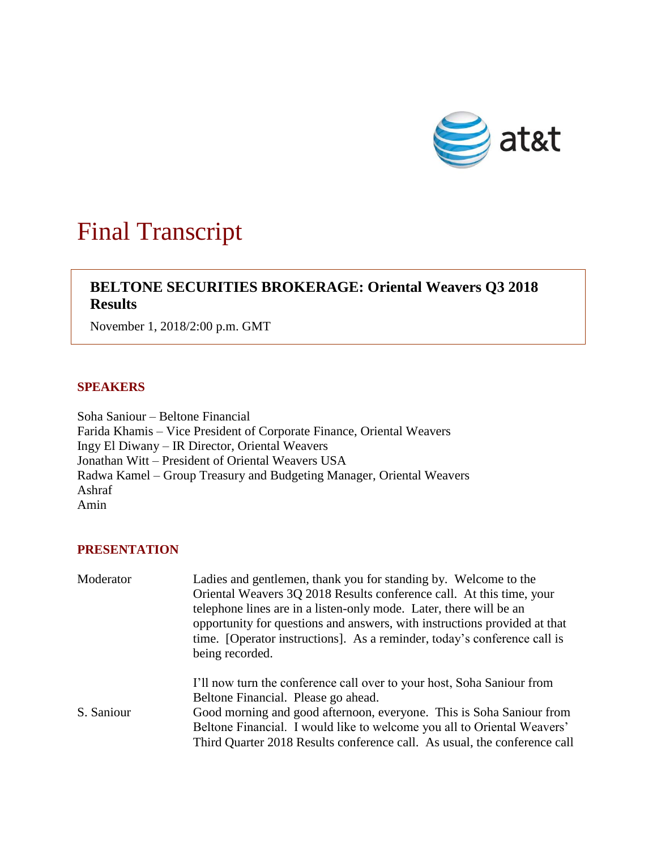

## Final Transcript

## **BELTONE SECURITIES BROKERAGE: Oriental Weavers Q3 2018 Results**

November 1, 2018/2:00 p.m. GMT

## **SPEAKERS**

Soha Saniour – Beltone Financial Farida Khamis – Vice President of Corporate Finance, Oriental Weavers Ingy El Diwany – IR Director, Oriental Weavers Jonathan Witt – President of Oriental Weavers USA Radwa Kamel – Group Treasury and Budgeting Manager, Oriental Weavers Ashraf Amin

## **PRESENTATION**

| Moderator  | Ladies and gentlemen, thank you for standing by. Welcome to the                                                                                                                                                                                |
|------------|------------------------------------------------------------------------------------------------------------------------------------------------------------------------------------------------------------------------------------------------|
|            | Oriental Weavers 3Q 2018 Results conference call. At this time, your                                                                                                                                                                           |
|            | telephone lines are in a listen-only mode. Later, there will be an<br>opportunity for questions and answers, with instructions provided at that<br>time. [Operator instructions]. As a reminder, today's conference call is<br>being recorded. |
|            | I'll now turn the conference call over to your host, Soha Saniour from                                                                                                                                                                         |
|            | Beltone Financial. Please go ahead.                                                                                                                                                                                                            |
| S. Saniour | Good morning and good afternoon, everyone. This is Soha Saniour from                                                                                                                                                                           |
|            | Beltone Financial. I would like to welcome you all to Oriental Weavers'                                                                                                                                                                        |
|            | Third Quarter 2018 Results conference call. As usual, the conference call                                                                                                                                                                      |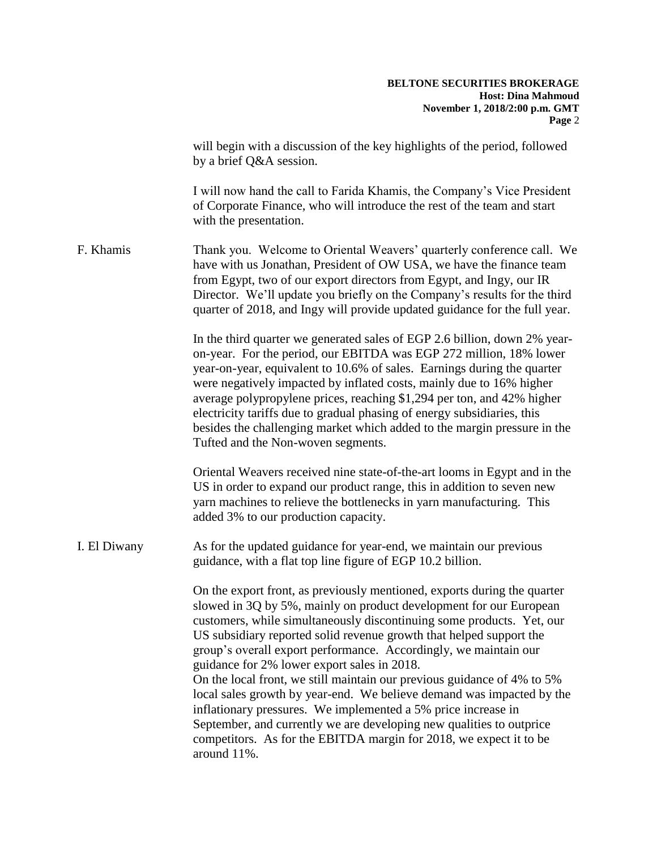will begin with a discussion of the key highlights of the period, followed by a brief Q&A session.

I will now hand the call to Farida Khamis, the Company's Vice President of Corporate Finance, who will introduce the rest of the team and start with the presentation.

F. Khamis Thank you. Welcome to Oriental Weavers' quarterly conference call. We have with us Jonathan, President of OW USA, we have the finance team from Egypt, two of our export directors from Egypt, and Ingy, our IR Director. We'll update you briefly on the Company's results for the third quarter of 2018, and Ingy will provide updated guidance for the full year.

> In the third quarter we generated sales of EGP 2.6 billion, down 2% yearon-year. For the period, our EBITDA was EGP 272 million, 18% lower year-on-year, equivalent to 10.6% of sales. Earnings during the quarter were negatively impacted by inflated costs, mainly due to 16% higher average polypropylene prices, reaching \$1,294 per ton, and 42% higher electricity tariffs due to gradual phasing of energy subsidiaries, this besides the challenging market which added to the margin pressure in the Tufted and the Non-woven segments.

> Oriental Weavers received nine state-of-the-art looms in Egypt and in the US in order to expand our product range, this in addition to seven new yarn machines to relieve the bottlenecks in yarn manufacturing. This added 3% to our production capacity.

I. El Diwany As for the updated guidance for year-end, we maintain our previous guidance, with a flat top line figure of EGP 10.2 billion.

> On the export front, as previously mentioned, exports during the quarter slowed in 3Q by 5%, mainly on product development for our European customers, while simultaneously discontinuing some products. Yet, our US subsidiary reported solid revenue growth that helped support the group's overall export performance. Accordingly, we maintain our guidance for 2% lower export sales in 2018.

On the local front, we still maintain our previous guidance of 4% to 5% local sales growth by year-end. We believe demand was impacted by the inflationary pressures. We implemented a 5% price increase in September, and currently we are developing new qualities to outprice competitors. As for the EBITDA margin for 2018, we expect it to be around 11%.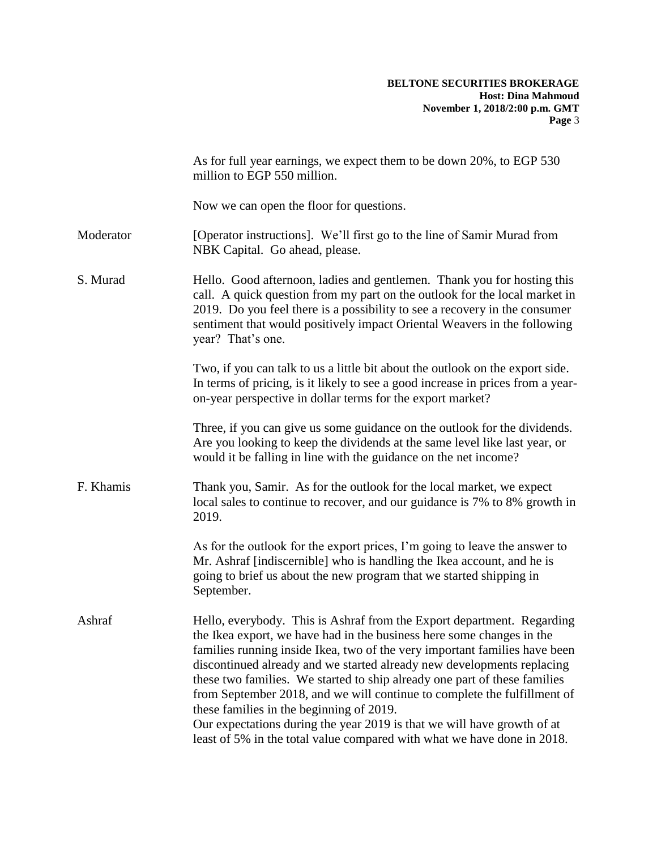|           | As for full year earnings, we expect them to be down 20%, to EGP 530<br>million to EGP 550 million.                                                                                                                                                                                                                                                                                                                                                                                                                                                                                                                                                                |
|-----------|--------------------------------------------------------------------------------------------------------------------------------------------------------------------------------------------------------------------------------------------------------------------------------------------------------------------------------------------------------------------------------------------------------------------------------------------------------------------------------------------------------------------------------------------------------------------------------------------------------------------------------------------------------------------|
|           | Now we can open the floor for questions.                                                                                                                                                                                                                                                                                                                                                                                                                                                                                                                                                                                                                           |
| Moderator | [Operator instructions]. We'll first go to the line of Samir Murad from<br>NBK Capital. Go ahead, please.                                                                                                                                                                                                                                                                                                                                                                                                                                                                                                                                                          |
| S. Murad  | Hello. Good afternoon, ladies and gentlemen. Thank you for hosting this<br>call. A quick question from my part on the outlook for the local market in<br>2019. Do you feel there is a possibility to see a recovery in the consumer<br>sentiment that would positively impact Oriental Weavers in the following<br>year? That's one.                                                                                                                                                                                                                                                                                                                               |
|           | Two, if you can talk to us a little bit about the outlook on the export side.<br>In terms of pricing, is it likely to see a good increase in prices from a year-<br>on-year perspective in dollar terms for the export market?                                                                                                                                                                                                                                                                                                                                                                                                                                     |
|           | Three, if you can give us some guidance on the outlook for the dividends.<br>Are you looking to keep the dividends at the same level like last year, or<br>would it be falling in line with the guidance on the net income?                                                                                                                                                                                                                                                                                                                                                                                                                                        |
| F. Khamis | Thank you, Samir. As for the outlook for the local market, we expect<br>local sales to continue to recover, and our guidance is 7% to 8% growth in<br>2019.                                                                                                                                                                                                                                                                                                                                                                                                                                                                                                        |
|           | As for the outlook for the export prices, I'm going to leave the answer to<br>Mr. Ashraf [indiscernible] who is handling the Ikea account, and he is<br>going to brief us about the new program that we started shipping in<br>September.                                                                                                                                                                                                                                                                                                                                                                                                                          |
| Ashraf    | Hello, everybody. This is Ashraf from the Export department. Regarding<br>the Ikea export, we have had in the business here some changes in the<br>families running inside Ikea, two of the very important families have been<br>discontinued already and we started already new developments replacing<br>these two families. We started to ship already one part of these families<br>from September 2018, and we will continue to complete the fulfillment of<br>these families in the beginning of 2019.<br>Our expectations during the year 2019 is that we will have growth of at<br>least of 5% in the total value compared with what we have done in 2018. |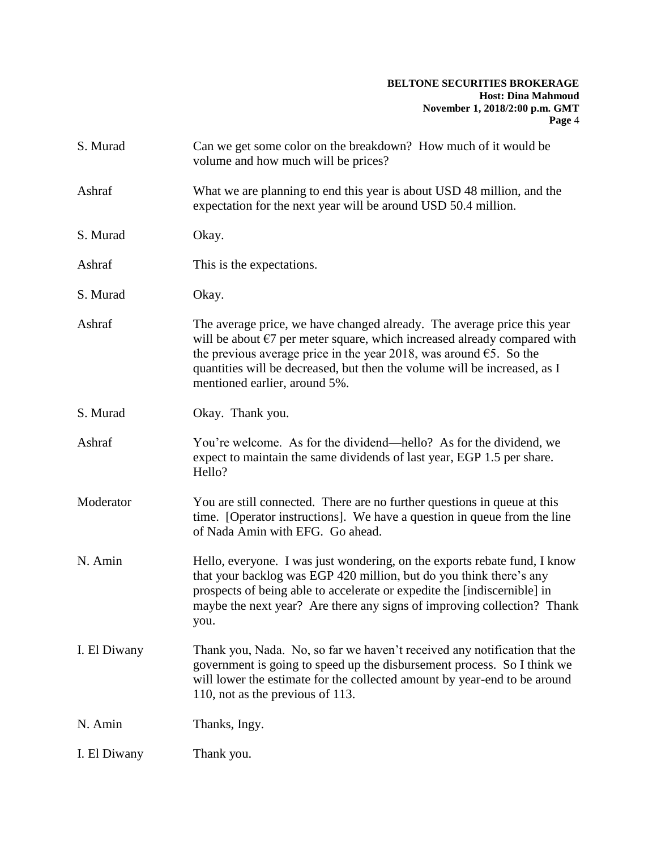| S. Murad     | Can we get some color on the breakdown? How much of it would be<br>volume and how much will be prices?                                                                                                                                                                                                                                                      |
|--------------|-------------------------------------------------------------------------------------------------------------------------------------------------------------------------------------------------------------------------------------------------------------------------------------------------------------------------------------------------------------|
| Ashraf       | What we are planning to end this year is about USD 48 million, and the<br>expectation for the next year will be around USD 50.4 million.                                                                                                                                                                                                                    |
| S. Murad     | Okay.                                                                                                                                                                                                                                                                                                                                                       |
| Ashraf       | This is the expectations.                                                                                                                                                                                                                                                                                                                                   |
| S. Murad     | Okay.                                                                                                                                                                                                                                                                                                                                                       |
| Ashraf       | The average price, we have changed already. The average price this year<br>will be about $\epsilon$ 7 per meter square, which increased already compared with<br>the previous average price in the year 2018, was around $\epsilon$ 5. So the<br>quantities will be decreased, but then the volume will be increased, as I<br>mentioned earlier, around 5%. |
| S. Murad     | Okay. Thank you.                                                                                                                                                                                                                                                                                                                                            |
| Ashraf       | You're welcome. As for the dividend—hello? As for the dividend, we<br>expect to maintain the same dividends of last year, EGP 1.5 per share.<br>Hello?                                                                                                                                                                                                      |
| Moderator    | You are still connected. There are no further questions in queue at this<br>time. [Operator instructions]. We have a question in queue from the line<br>of Nada Amin with EFG. Go ahead.                                                                                                                                                                    |
| N. Amin      | Hello, everyone. I was just wondering, on the exports rebate fund, I know<br>that your backlog was EGP 420 million, but do you think there's any<br>prospects of being able to accelerate or expedite the [indiscernible] in<br>maybe the next year? Are there any signs of improving collection? Thank<br>you.                                             |
| I. El Diwany | Thank you, Nada. No, so far we haven't received any notification that the<br>government is going to speed up the disbursement process. So I think we<br>will lower the estimate for the collected amount by year-end to be around<br>110, not as the previous of 113.                                                                                       |
| N. Amin      | Thanks, Ingy.                                                                                                                                                                                                                                                                                                                                               |
| I. El Diwany | Thank you.                                                                                                                                                                                                                                                                                                                                                  |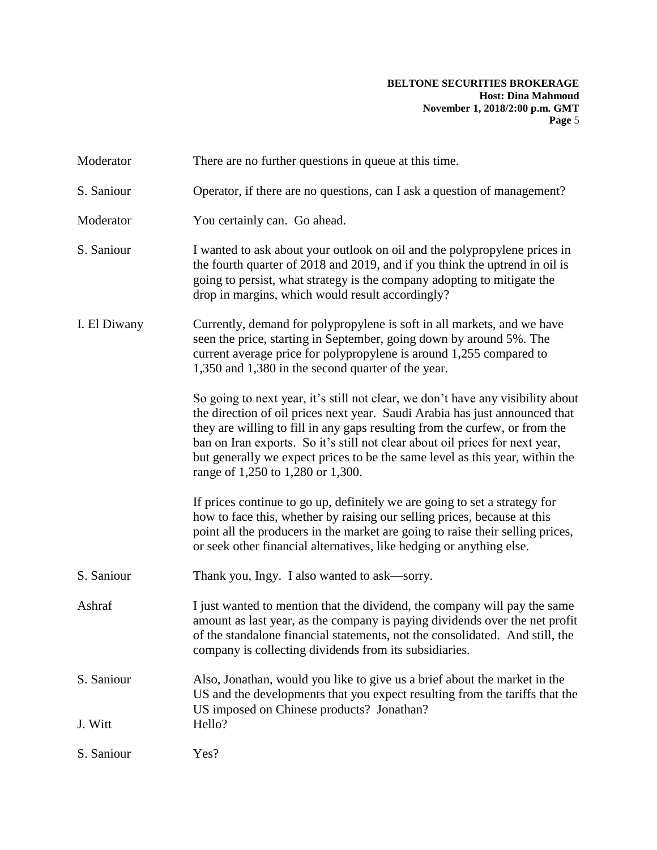| Moderator             | There are no further questions in queue at this time.                                                                                                                                                                                                                                                                                                                                                                                              |
|-----------------------|----------------------------------------------------------------------------------------------------------------------------------------------------------------------------------------------------------------------------------------------------------------------------------------------------------------------------------------------------------------------------------------------------------------------------------------------------|
| S. Saniour            | Operator, if there are no questions, can I ask a question of management?                                                                                                                                                                                                                                                                                                                                                                           |
| Moderator             | You certainly can. Go ahead.                                                                                                                                                                                                                                                                                                                                                                                                                       |
| S. Saniour            | I wanted to ask about your outlook on oil and the polypropylene prices in<br>the fourth quarter of 2018 and 2019, and if you think the uptrend in oil is<br>going to persist, what strategy is the company adopting to mitigate the<br>drop in margins, which would result accordingly?                                                                                                                                                            |
| I. El Diwany          | Currently, demand for polypropylene is soft in all markets, and we have<br>seen the price, starting in September, going down by around 5%. The<br>current average price for polypropylene is around 1,255 compared to<br>1,350 and 1,380 in the second quarter of the year.                                                                                                                                                                        |
|                       | So going to next year, it's still not clear, we don't have any visibility about<br>the direction of oil prices next year. Saudi Arabia has just announced that<br>they are willing to fill in any gaps resulting from the curfew, or from the<br>ban on Iran exports. So it's still not clear about oil prices for next year,<br>but generally we expect prices to be the same level as this year, within the<br>range of 1,250 to 1,280 or 1,300. |
|                       | If prices continue to go up, definitely we are going to set a strategy for<br>how to face this, whether by raising our selling prices, because at this<br>point all the producers in the market are going to raise their selling prices,<br>or seek other financial alternatives, like hedging or anything else.                                                                                                                                   |
| S. Saniour            | Thank you, Ingy. I also wanted to ask—sorry.                                                                                                                                                                                                                                                                                                                                                                                                       |
| Ashraf                | I just wanted to mention that the dividend, the company will pay the same<br>amount as last year, as the company is paying dividends over the net profit<br>of the standalone financial statements, not the consolidated. And still, the<br>company is collecting dividends from its subsidiaries.                                                                                                                                                 |
| S. Saniour<br>J. Witt | Also, Jonathan, would you like to give us a brief about the market in the<br>US and the developments that you expect resulting from the tariffs that the<br>US imposed on Chinese products? Jonathan?<br>Hello?                                                                                                                                                                                                                                    |
| S. Saniour            | Yes?                                                                                                                                                                                                                                                                                                                                                                                                                                               |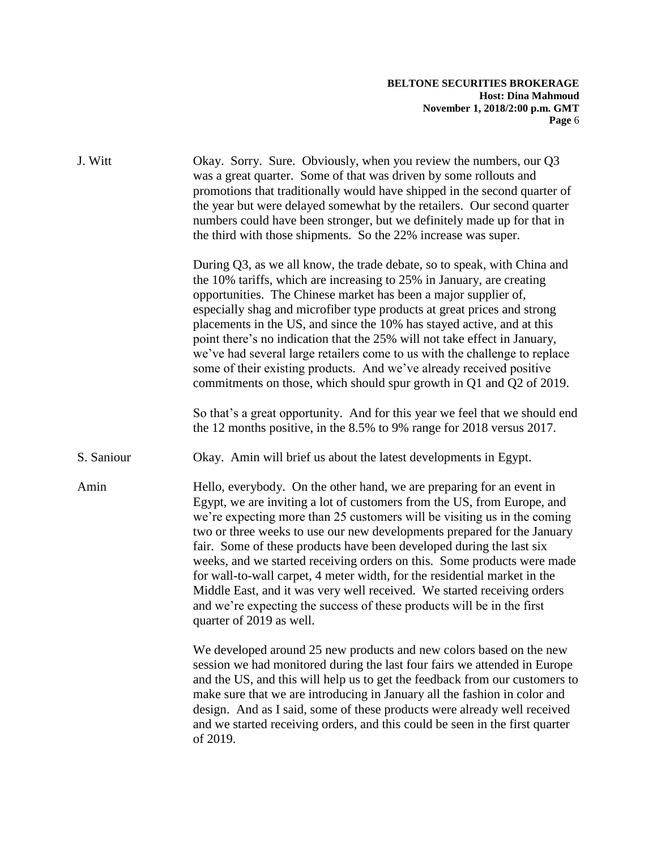| J. Witt    | Okay. Sorry. Sure. Obviously, when you review the numbers, our Q3<br>was a great quarter. Some of that was driven by some rollouts and<br>promotions that traditionally would have shipped in the second quarter of<br>the year but were delayed somewhat by the retailers. Our second quarter<br>numbers could have been stronger, but we definitely made up for that in<br>the third with those shipments. So the 22% increase was super.                                                                                                                                                                                                                                                                              |
|------------|--------------------------------------------------------------------------------------------------------------------------------------------------------------------------------------------------------------------------------------------------------------------------------------------------------------------------------------------------------------------------------------------------------------------------------------------------------------------------------------------------------------------------------------------------------------------------------------------------------------------------------------------------------------------------------------------------------------------------|
|            | During Q3, as we all know, the trade debate, so to speak, with China and<br>the 10% tariffs, which are increasing to 25% in January, are creating<br>opportunities. The Chinese market has been a major supplier of,<br>especially shag and microfiber type products at great prices and strong<br>placements in the US, and since the 10% has stayed active, and at this<br>point there's no indication that the 25% will not take effect in January,<br>we've had several large retailers come to us with the challenge to replace<br>some of their existing products. And we've already received positive<br>commitments on those, which should spur growth in Q1 and Q2 of 2019.                                     |
|            | So that's a great opportunity. And for this year we feel that we should end<br>the 12 months positive, in the 8.5% to 9% range for 2018 versus 2017.                                                                                                                                                                                                                                                                                                                                                                                                                                                                                                                                                                     |
| S. Saniour | Okay. Amin will brief us about the latest developments in Egypt.                                                                                                                                                                                                                                                                                                                                                                                                                                                                                                                                                                                                                                                         |
| Amin       | Hello, everybody. On the other hand, we are preparing for an event in<br>Egypt, we are inviting a lot of customers from the US, from Europe, and<br>we're expecting more than 25 customers will be visiting us in the coming<br>two or three weeks to use our new developments prepared for the January<br>fair. Some of these products have been developed during the last six<br>weeks, and we started receiving orders on this. Some products were made<br>for wall-to-wall carpet, 4 meter width, for the residential market in the<br>Middle East, and it was very well received. We started receiving orders<br>and we're expecting the success of these products will be in the first<br>quarter of 2019 as well. |
|            | We developed around 25 new products and new colors based on the new<br>session we had monitored during the last four fairs we attended in Europe<br>and the US, and this will help us to get the feedback from our customers to<br>make sure that we are introducing in January all the fashion in color and<br>design. And as I said, some of these products were already well received<br>and we started receiving orders, and this could be seen in the first quarter<br>of 2019.                                                                                                                                                                                                                                     |